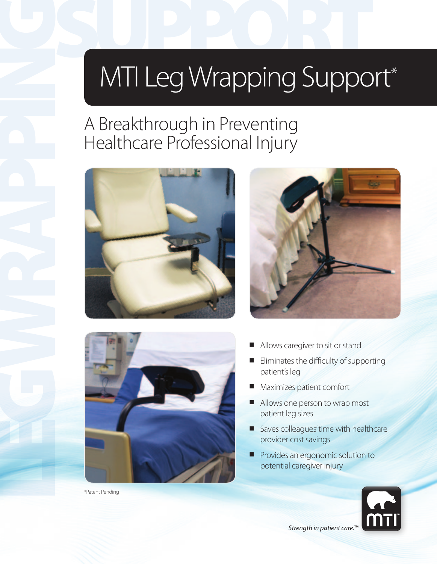# MTI Leg Wrapping Support\*

# A Breakthrough in Preventing Healthcare Professional Injury







\*Patent Pending

- Allows caregiver to sit or stand
- **n** Eliminates the difficulty of supporting patient's leg
- Maximizes patient comfort
- Allows one person to wrap most patient leg sizes
- saves colleagues' time with healthcare provider cost savings
- **n** Provides an ergonomic solution to potential caregiver injury



*Strength in patient care.™*